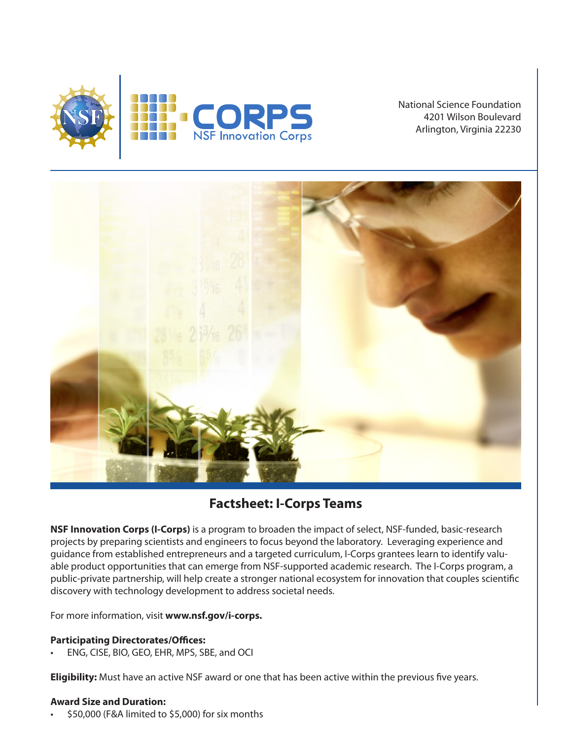

National Science Foundation 4201 Wilson Boulevard Arlington, Virginia 22230



# **Factsheet: I-Corps Teams**

**NSF Innovation Corps (I-Corps)** is a program to broaden the impact of select, NSF-funded, basic-research projects by preparing scientists and engineers to focus beyond the laboratory. Leveraging experience and guidance from established entrepreneurs and a targeted curriculum, I-Corps grantees learn to identify valuable product opportunities that can emerge from NSF-supported academic research. The I-Corps program, a public-private partnership, will help create a stronger national ecosystem for innovation that couples scientific discovery with technology development to address societal needs.

For more information, visit **www.nsf.gov/i-corps.** 

## **Participating Directorates/Offices:**

• ENG, CISE, BIO, GEO, EHR, MPS, SBE, and OCI

**Eligibility:** Must have an active NSF award or one that has been active within the previous five years.

## **Award Size and Duration:**

• \$50,000 (F&A limited to \$5,000) for six months